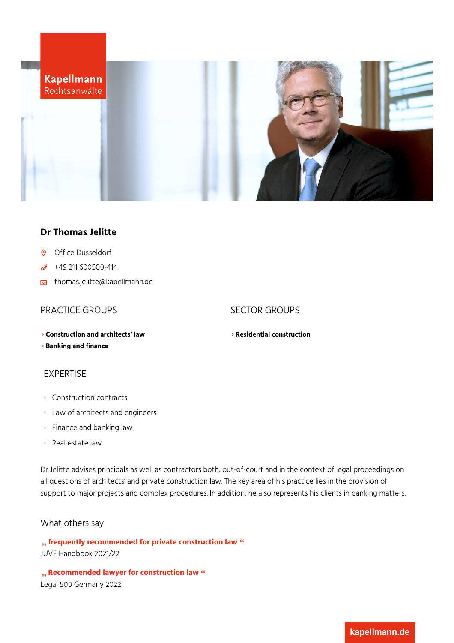

## **Dr Thomas Jelitte**

- Office [Düsseldorf](https://www.kapellmann.de/en/offices/duesseldorf)  $\odot$
- $\mathscr{S}$ +49 211 [600500-414](tel:+49211600500414)
- s [thomas.jelitte@kapellmann.de](mailto:thomas.jelitte@kapellmann.de)

# PRACTICE GROUPS SECTOR GROUPS

**[Construction](https://www.kapellmann.de/en/expertise/construction-and-architects-law) and architects' law**

**[Banking](https://www.kapellmann.de/en/expertise/banking-and-finance) and finance**

# EXPERTISE

- Construction contracts
- **Law of architects and engineers**
- Finance and banking law  $\mathbb{R}^n$
- Real estate law  $\mathcal{L}$

Dr Jelitte advises principals as well as contractors both, out-of-court and in the context of legal proceedings on all questions of architects' and private construction law. The key area of his practice lies in the provision of support to major projects and complex procedures. In addition, he also represents his clients in banking matters.

### What others say

**frequently recommended for private construction law** JUVE Handbook 2021/22

**Recommended lawyer for construction law** Legal 500 Germany 2022

**Residential [construction](https://www.kapellmann.de/en/expertise/residential-construction)**